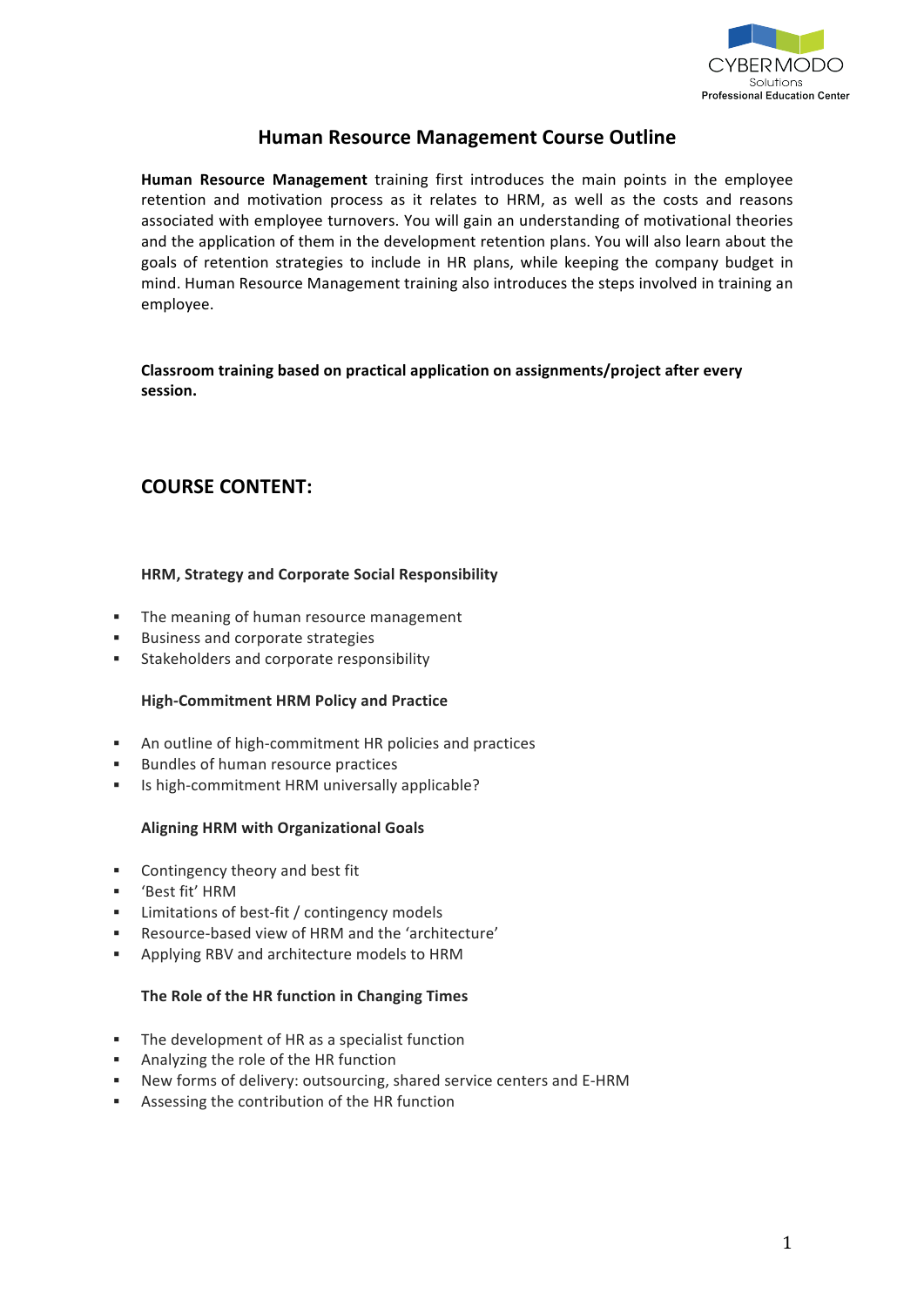

## **Human Resource Management Course Outline**

**Human Resource Management** training first introduces the main points in the employee retention and motivation process as it relates to HRM, as well as the costs and reasons associated with employee turnovers. You will gain an understanding of motivational theories and the application of them in the development retention plans. You will also learn about the goals of retention strategies to include in HR plans, while keeping the company budget in mind. Human Resource Management training also introduces the steps involved in training an employee.

**Classroom training based on practical application on assignments/project after every session.!**

# **COURSE CONTENT:**

## **HRM, Strategy and Corporate Social Responsibility**

- " The meaning of human resource management
- **EXECUTE:** Business and corporate strategies
- **EXECUTE:** Stakeholders and corporate responsibility

## **High-Commitment HRM Policy and Practice**

- " An outline of high-commitment HR policies and practices
- **EXECUTE:** Bundles of human resource practices
- " Is high-commitment HRM universally applicable?

## **Aligning HRM with Organizational Goals**

- Contingency theory and best fit
- **"** 'Best fit' HRM
- Limitations of best-fit / contingency models
- Resource-based view of HRM and the 'architecture'
- Applying RBV and architecture models to HRM

## The Role of the HR function in Changing Times

- " The development of HR as a specialist function
- **.** Analyzing the role of the HR function
- New forms of delivery: outsourcing, shared service centers and E-HRM
- " Assessing the contribution of the HR function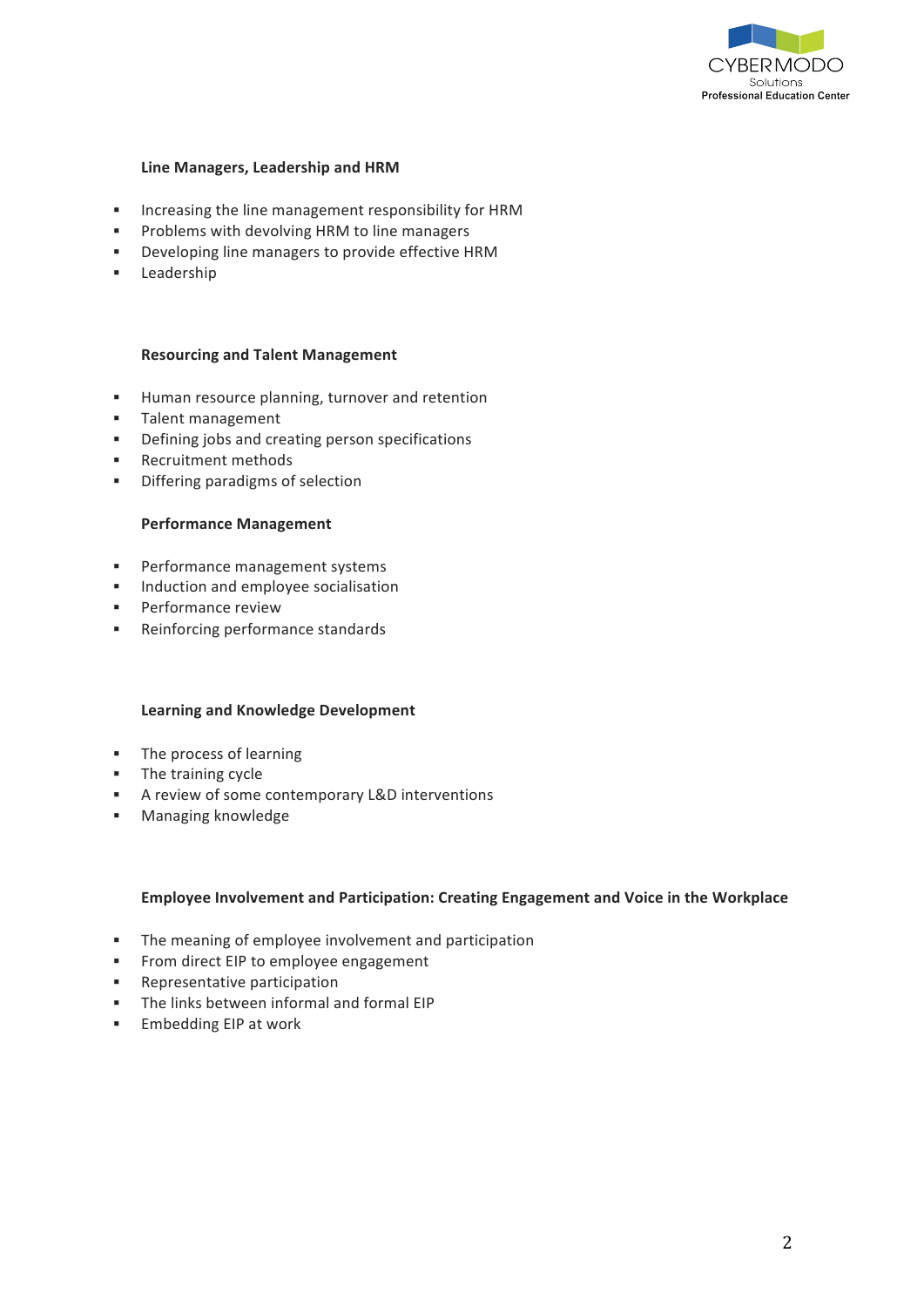

#### **Line Managers, Leadership and HRM**

- " Increasing the line management responsibility for HRM
- " Problems with devolving HRM to line managers
- " Developing line managers to provide effective HRM
- ! Leadership

#### **Resourcing!and!Talent!Management**

- **EXEDENT Human resource planning, turnover and retention**
- **Talent management**
- " Defining jobs and creating person specifications
- **EXECCLEDENT ENDITE IN EXECUTE I**
- **.** Differing paradigms of selection

#### **Performance Management**

- **EXECUTE:** Performance management systems
- **Induction and employee socialisation**
- **Performance review**
- **EXECUTE:** Reinforcing performance standards

#### **Learning and Knowledge Development**

- " The process of learning
- **·** The training cycle
- **EXECUTE:** A review of some contemporary L&D interventions
- **E** Managing knowledge

#### **Employee Involvement and Participation: Creating Engagement and Voice in the Workplace**

- " The meaning of employee involvement and participation
- " From direct EIP to employee engagement
- **EXECUTE:** Representative participation
- " The links between informal and formal EIP
- **Embedding EIP at work**